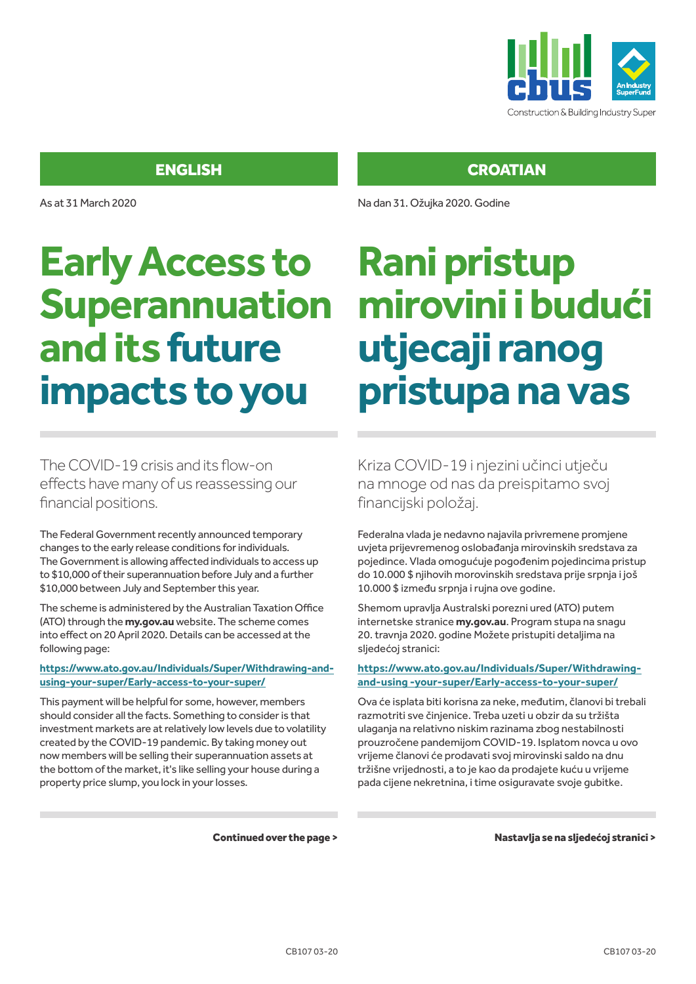

As at 31 March 2020

# **Early Access to Superannuation and its future impacts to you**

The COVID-19 crisis and its flow-on effects have many of us reassessing our financial positions.

The Federal Government recently announced temporary changes to the early release conditions for individuals. The Government is allowing affected individuals to access up to \$10,000 of their superannuation before July and a further \$10,000 between July and September this year.

The scheme is administered by the Australian Taxation Office (ATO) through the **my.gov.au** website. The scheme comes into effect on 20 April 2020. Details can be accessed at the following page:

#### **https://www.ato.gov.au/Individuals/Super/Withdrawing-andusing-your-super/Early-access-to-your-super/**

This payment will be helpful for some, however, members should consider all the facts. Something to consider is that investment markets are at relatively low levels due to volatility created by the COVID-19 pandemic. By taking money out now members will be selling their superannuation assets at the bottom of the market, it's like selling your house during a property price slump, you lock in your losses.

**CROATIAN** 

Na dan 31. Ožujka 2020. Godine

# **Rani pristup mirovini i budući utjecaji ranog pristupa na vas**

Kriza COVID-19 i njezini učinci utječu na mnoge od nas da preispitamo svoj financijski položaj.

Federalna vlada je nedavno najavila privremene promjene uvjeta prijevremenog oslobađanja mirovinskih sredstava za pojedince. Vlada omogućuje pogođenim pojedincima pristup do 10.000 \$ njihovih morovinskih sredstava prije srpnja i još 10.000 \$ između srpnja i rujna ove godine.

Shemom upravlja Australski porezni ured (ATO) putem internetske stranice **my.gov.au**. Program stupa na snagu 20. travnja 2020. godine Možete pristupiti detaljima na sljedećoj stranici:

#### **https://www.ato.gov.au/Individuals/Super/Withdrawingand-using -your-super/Early-access-to-your-super/**

Ova će isplata biti korisna za neke, međutim, članovi bi trebali razmotriti sve činjenice. Treba uzeti u obzir da su tržišta ulaganja na relativno niskim razinama zbog nestabilnosti prouzročene pandemijom COVID-19. Isplatom novca u ovo vrijeme članovi će prodavati svoj mirovinski saldo na dnu tržišne vrijednosti, a to je kao da prodajete kuću u vrijeme pada cijene nekretnina, i time osiguravate svoje gubitke.

Continued over the page >

Nastavlja se na sljedećoj stranici >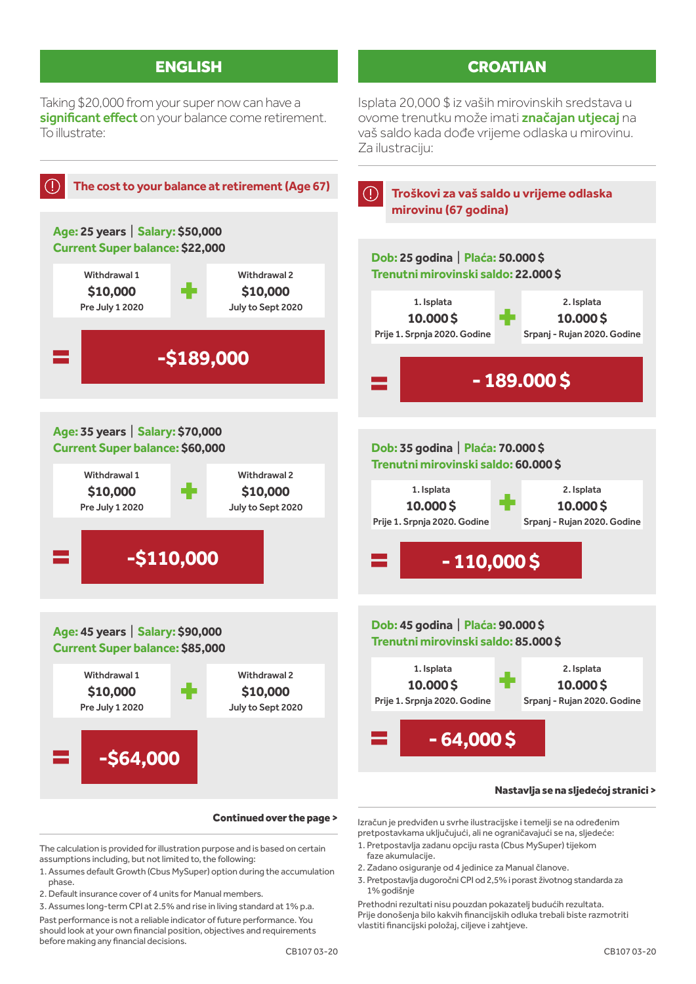Taking \$20,000 from your super now can have a significant effect on your balance come retirement. To illustrate:

### **CROATIAN**

Isplata 20,000 \$ iz vaših mirovinskih sredstava u ovome trenutku može imati značajan utjecaj na vaš saldo kada dođe vrijeme odlaska u mirovinu. Za ilustraciju:



Continued over the page >

The calculation is provided for illustration purpose and is based on certain assumptions including, but not limited to, the following:

- 1. Assumes default Growth (Cbus MySuper) option during the accumulation phase.
- 2. Default insurance cover of 4 units for Manual members.

3. Assumes long-term CPI at 2.5% and rise in living standard at 1% p.a.

Past performance is not a reliable indicator of future performance. You should look at your own financial position, objectives and requirements before making any financial decisions.

Izračun je predviđen u svrhe ilustracijske i temelji se na određenim pretpostavkama uključujući, ali ne ograničavajući se na, sljedeće:

- 1. Pretpostavlja zadanu opciju rasta (Cbus MySuper) tijekom faze akumulacije.
- 2. Zadano osiguranje od 4 jedinice za Manual članove.
- 3. Pretpostavlja dugoročni CPI od 2,5% i porast životnog standarda za 1% godišnje

Prethodni rezultati nisu pouzdan pokazatelj budućih rezultata. Prije donošenja bilo kakvih financijskih odluka trebali biste razmotriti vlastiti financijski položaj, ciljeve i zahtjeve.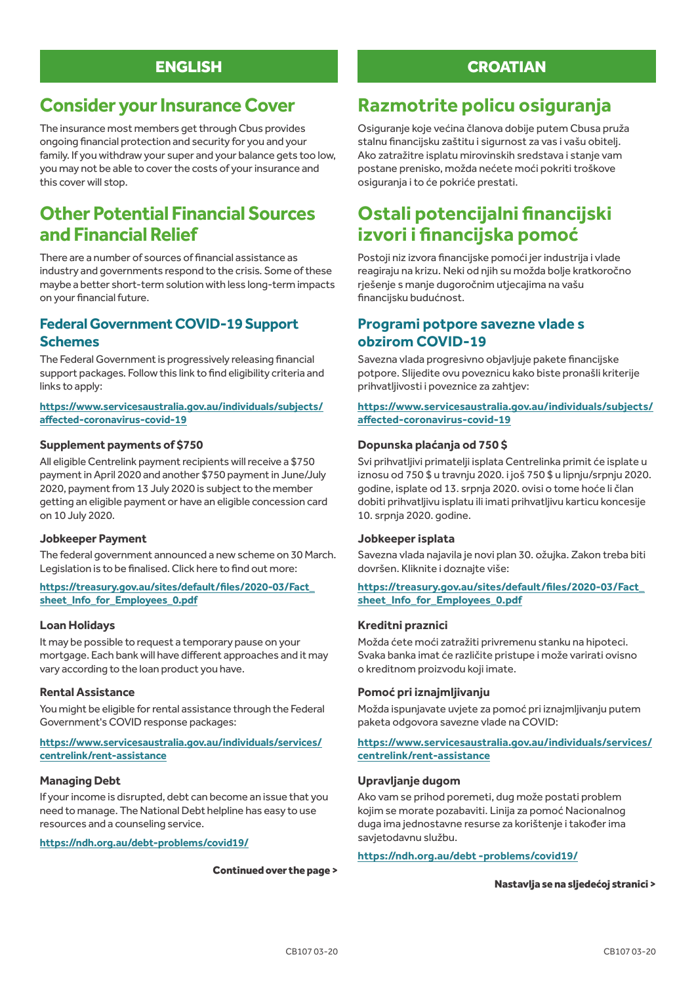# **Consider your Insurance Cover**

The insurance most members get through Cbus provides ongoing financial protection and security for you and your family. If you withdraw your super and your balance gets too low, you may not be able to cover the costs of your insurance and this cover will stop.

# **Other Potential Financial Sources and Financial Relief**

There are a number of sources of financial assistance as industry and governments respond to the crisis. Some of these maybe a better short-term solution with less long-term impacts on your financial future.

### **Federal Government COVID-19 Support Schemes**

The Federal Government is progressively releasing financial support packages. Follow this link to find eligibility criteria and links to apply:

#### **https://www.servicesaustralia.gov.au/individuals/subjects/ affected-coronavirus-covid-19**

#### **Supplement payments of \$750**

All eligible Centrelink payment recipients will receive a \$750 payment in April 2020 and another \$750 payment in June/July 2020, payment from 13 July 2020 is subject to the member getting an eligible payment or have an eligible concession card on 10 July 2020.

#### **Jobkeeper Payment**

The federal government announced a new scheme on 30 March. Legislation is to be finalised. Click here to find out more:

#### **https://treasury.gov.au/sites/default/files/2020-03/Fact\_ sheet\_Info\_for\_Employees\_0.pdf**

#### **Loan Holidays**

It may be possible to request a temporary pause on your mortgage. Each bank will have different approaches and it may vary according to the loan product you have.

#### **Rental Assistance**

You might be eligible for rental assistance through the Federal Government's COVID response packages:

#### **https://www.servicesaustralia.gov.au/individuals/services/ centrelink/rent-assistance**

#### **Managing Debt**

If your income is disrupted, debt can become an issue that you need to manage. The National Debt helpline has easy to use resources and a counseling service.

**https://ndh.org.au/debt-problems/covid19/**

#### Continued over the page >

### **CROATIAN**

# **Razmotrite policu osiguranja**

Osiguranje koje većina članova dobije putem Cbusa pruža stalnu financijsku zaštitu i sigurnost za vas i vašu obitelj. Ako zatražitre isplatu mirovinskih sredstava i stanje vam postane prenisko, možda nećete moći pokriti troškove osiguranja i to će pokriće prestati.

# **Ostali potencijalni financijski izvori i financijska pomoć**

Postoji niz izvora financijske pomoći jer industrija i vlade reagiraju na krizu. Neki od njih su možda bolje kratkoročno rješenje s manje dugoročnim utjecajima na vašu financijsku budućnost.

### **Programi potpore savezne vlade s obzirom COVID-19**

Savezna vlada progresivno objavljuje pakete financijske potpore. Slijedite ovu poveznicu kako biste pronašli kriterije prihvatljivosti i poveznice za zahtjev:

#### **https://www.servicesaustralia.gov.au/individuals/subjects/ affected-coronavirus-covid-19**

#### **Dopunska plaćanja od 750 \$**

Svi prihvatljivi primatelji isplata Centrelinka primit će isplate u iznosu od 750 \$ u travnju 2020. i još 750 \$ u lipnju/srpnju 2020. godine, isplate od 13. srpnja 2020. ovisi o tome hoće li član dobiti prihvatljivu isplatu ili imati prihvatljivu karticu koncesije 10. srpnja 2020. godine.

#### **Jobkeeper isplata**

Savezna vlada najavila je novi plan 30. ožujka. Zakon treba biti dovršen. Kliknite i doznajte više:

#### **https://treasury.gov.au/sites/default/files/2020-03/Fact\_ sheet\_Info\_for\_Employees\_0.pdf**

#### **Kreditni praznici**

Možda ćete moći zatražiti privremenu stanku na hipoteci. Svaka banka imat će različite pristupe i može varirati ovisno o kreditnom proizvodu koji imate.

#### **Pomoć pri iznajmljivanju**

Možda ispunjavate uvjete za pomoć pri iznajmljivanju putem paketa odgovora savezne vlade na COVID:

#### **https://www.servicesaustralia.gov.au/individuals/services/ centrelink/rent-assistance**

#### **Upravljanje dugom**

Ako vam se prihod poremeti, dug može postati problem kojim se morate pozabaviti. Linija za pomoć Nacionalnog duga ima jednostavne resurse za korištenje i također ima savjetodavnu službu.

#### **https://ndh.org.au/debt -problems/covid19/**

#### Nastavlja se na sljedećoj stranici >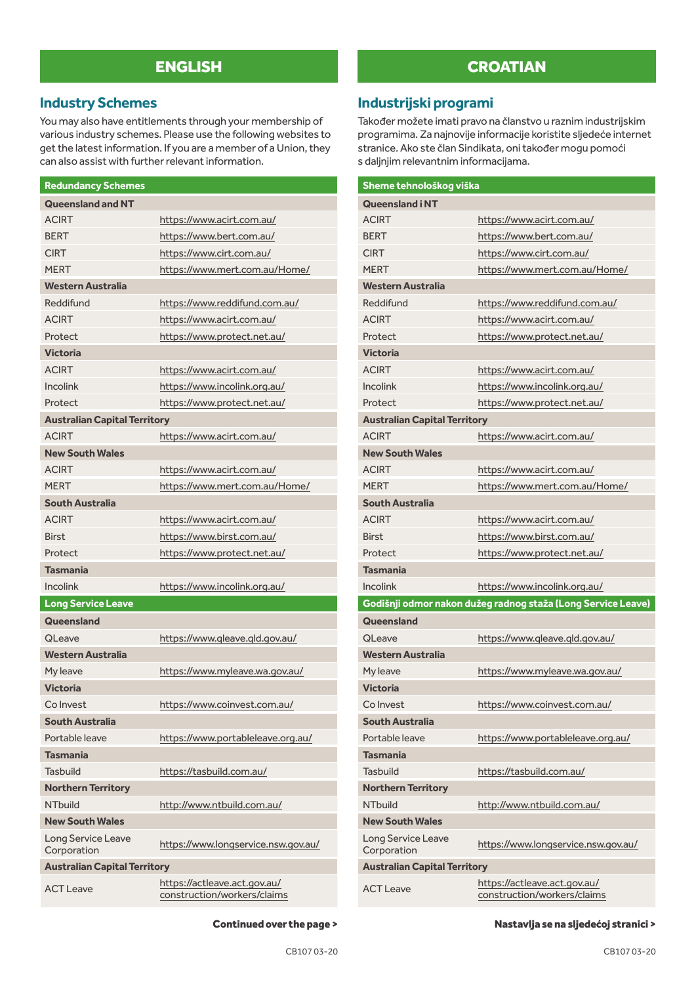### **Industry Schemes**

You may also have entitlements through your membership of various industry schemes. Please use the following websites to get the latest information. If you are a member of a Union, they can also assist with further relevant information.

| <b>Redundancy Schemes</b>           |                                                             |
|-------------------------------------|-------------------------------------------------------------|
| <b>Queensland and NT</b>            |                                                             |
| <b>ACIRT</b>                        | https://www.acirt.com.au/                                   |
| <b>BERT</b>                         | https://www.bert.com.au/                                    |
| <b>CIRT</b>                         | https://www.cirt.com.au/                                    |
| <b>MERT</b>                         | https://www.mert.com.au/Home/                               |
| <b>Western Australia</b>            |                                                             |
| Reddifund                           | https://www.reddifund.com.au/                               |
| <b>ACIRT</b>                        | https://www.acirt.com.au/                                   |
| Protect                             | https://www.protect.net.au/                                 |
| <b>Victoria</b>                     |                                                             |
| <b>ACIRT</b>                        | https://www.acirt.com.au/                                   |
| <b>Incolink</b>                     | https://www.incolink.org.au/                                |
| Protect                             | https://www.protect.net.au/                                 |
| <b>Australian Capital Territory</b> |                                                             |
| <b>ACIRT</b>                        | https://www.acirt.com.au/                                   |
| <b>New South Wales</b>              |                                                             |
| <b>ACIRT</b>                        | https://www.acirt.com.au/                                   |
| <b>MFRT</b>                         | https://www.mert.com.au/Home/                               |
| <b>South Australia</b>              |                                                             |
| <b>ACIRT</b>                        | https://www.acirt.com.au/                                   |
| <b>Birst</b>                        | https://www.birst.com.au/                                   |
| Protect                             | https://www.protect.net.au/                                 |
| <b>Tasmania</b>                     |                                                             |
| <b>Incolink</b>                     | https://www.incolink.org.au/                                |
| Long Service Leave                  |                                                             |
| Queensland                          |                                                             |
| QLeave                              | https://www.gleave.gld.gov.au/                              |
| <b>Western Australia</b>            |                                                             |
| My leave                            | https://www.myleave.wa.gov.au/                              |
| <b>Victoria</b>                     |                                                             |
| Co Invest                           | https://www.coinvest.com.au/                                |
| South Australia                     |                                                             |
| Portable leave                      | https://www.portableleave.org.au/                           |
| <b>Tasmania</b>                     |                                                             |
| Tashuild                            | https://tasbuild.com.au/                                    |
| <b>Northern Territory</b>           |                                                             |
| NThuild                             | http://www.ntbuild.com.au/                                  |
| <b>New South Wales</b>              |                                                             |
| Long Service Leave<br>Corporation   | https://www.longservice.nsw.gov.au/                         |
| <b>Australian Capital Territory</b> |                                                             |
| <b>ACT Leave</b>                    | https://actleave.act.gov.au/<br>construction/workers/claims |

### **CROATIAN**

### **Industrijski programi**

Također možete imati pravo na članstvo u raznim industrijskim programima. Za najnovije informacije koristite sljedeće internet stranice. Ako ste član Sindikata, oni također mogu pomoći s daljnjim relevantnim informacijama.

| Sheme tehnološkog viška             |                                                              |  |
|-------------------------------------|--------------------------------------------------------------|--|
| <b>Queensland i NT</b>              |                                                              |  |
| <b>ACIRT</b>                        | https://www.acirt.com.au/                                    |  |
| <b>BERT</b>                         | https://www.bert.com.au/                                     |  |
| <b>CIRT</b>                         | https://www.cirt.com.au/                                     |  |
| <b>MERT</b>                         | https://www.mert.com.au/Home/                                |  |
| <b>Western Australia</b>            |                                                              |  |
| Reddifund                           | https://www.reddifund.com.au/                                |  |
| <b>ACIRT</b>                        | https://www.acirt.com.au/                                    |  |
| Protect                             | https://www.protect.net.au/                                  |  |
| <b>Victoria</b>                     |                                                              |  |
| <b>ACIRT</b>                        | https://www.acirt.com.au/                                    |  |
| <b>Incolink</b>                     | https://www.incolink.org.au/                                 |  |
| Protect                             | https://www.protect.net.au/                                  |  |
| <b>Australian Capital Territory</b> |                                                              |  |
| <b>ACIRT</b>                        | https://www.acirt.com.au/                                    |  |
| <b>New South Wales</b>              |                                                              |  |
| <b>ACIRT</b>                        | https://www.acirt.com.au/                                    |  |
| <b>MERT</b>                         | https://www.mert.com.au/Home/                                |  |
| South Australia                     |                                                              |  |
| <b>ACIRT</b>                        | https://www.acirt.com.au/                                    |  |
| <b>Birst</b>                        | https://www.birst.com.au/                                    |  |
| Protect                             | https://www.protect.net.au/                                  |  |
| <b>Tasmania</b>                     |                                                              |  |
| <b>Incolink</b>                     | https://www.incolink.org.au/                                 |  |
|                                     | Godišnji odmor nakon dužeg radnog staža (Long Service Leave) |  |
| Queensland                          |                                                              |  |
| <b>QLeave</b>                       | https://www.gleave.gld.gov.au/                               |  |
| <b>Western Australia</b>            |                                                              |  |
| My leave                            | https://www.myleave.wa.gov.au/                               |  |
| <b>Victoria</b>                     |                                                              |  |
| Co Invest                           | https://www.coinvest.com.au/                                 |  |
| <b>South Australia</b>              |                                                              |  |
| Portable leave                      | https://www.portableleave.org.au/                            |  |
| <b>Tasmania</b>                     |                                                              |  |
| <b>Tasbuild</b>                     | https://tasbuild.com.au/                                     |  |
| <b>Northern Territory</b>           |                                                              |  |
| <b>NTbuild</b>                      | http://www.ntbuild.com.au/                                   |  |
| <b>New South Wales</b>              |                                                              |  |
| Long Service Leave<br>Corporation   | https://www.longservice.nsw.gov.au/                          |  |
| <b>Australian Capital Territory</b> |                                                              |  |
| <b>ACT Leave</b>                    | https://actleave.act.gov.au/<br>construction/workers/claims  |  |

Nastavlja se na sljedećoj stranici >